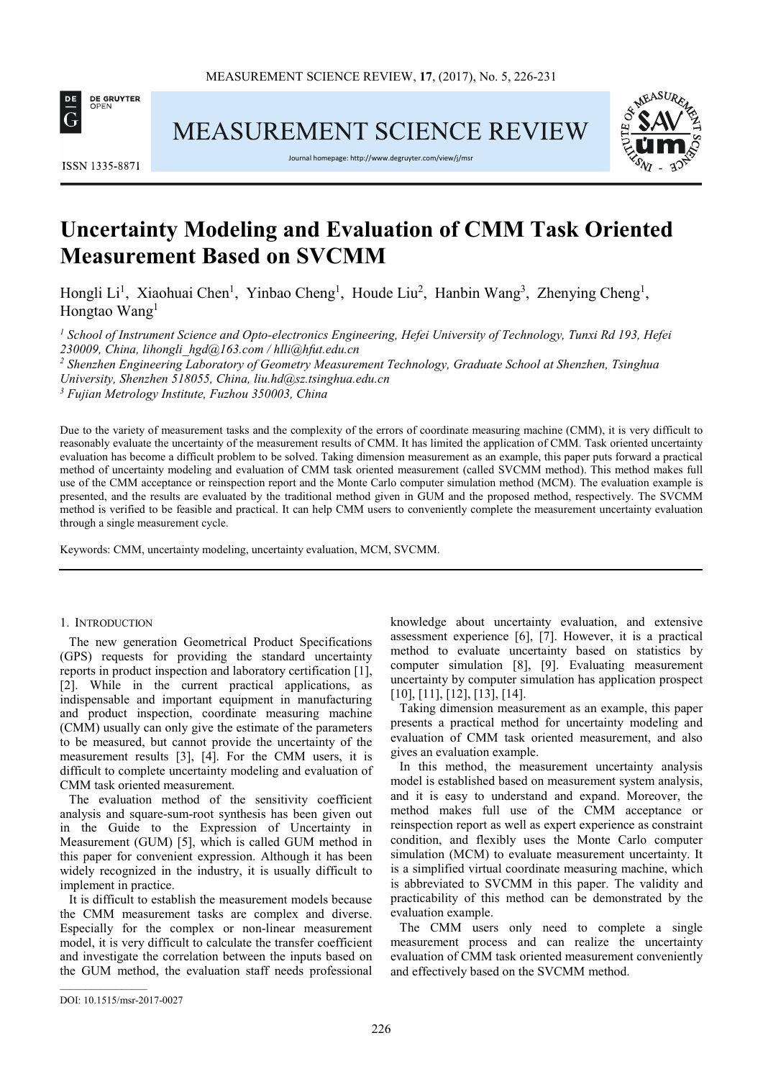

**MEASUREMENT SCIENCE REVIEW** 



**ISSN 1335-8871** 

Journal homepage: http://www.degruyter.com/view/j/msr

# **Uncertainty Modeling and Evaluation of CMM Task Oriented Measurement Based on SVCMM**

Hongli Li<sup>1</sup>, Xiaohuai Chen<sup>1</sup>, Yinbao Cheng<sup>1</sup>, Houde Liu<sup>2</sup>, Hanbin Wang<sup>3</sup>, Zhenying Cheng<sup>1</sup>, Hongtao Wang<sup>1</sup>

*1 School of Instrument Science and Opto-electronics Engineering, Hefei University of Technology, Tunxi Rd 193, Hefei 230009, China, lihongli\_hgd@163.com / hlli@hfut.edu.cn* 

<sup>2</sup> Shenzhen Engineering Laboratory of Geometry Measurement Technology, Graduate School at Shenzhen, Tsinghua

*University, Shenzhen 518055, China, liu.hd@sz.tsinghua.edu.cn* 

*3 Fujian Metrology Institute, Fuzhou 350003, China* 

Due to the variety of measurement tasks and the complexity of the errors of coordinate measuring machine (CMM), it is very difficult to reasonably evaluate the uncertainty of the measurement results of CMM. It has limited the application of CMM. Task oriented uncertainty evaluation has become a difficult problem to be solved. Taking dimension measurement as an example, this paper puts forward a practical method of uncertainty modeling and evaluation of CMM task oriented measurement (called SVCMM method). This method makes full use of the CMM acceptance or reinspection report and the Monte Carlo computer simulation method (MCM). The evaluation example is presented, and the results are evaluated by the traditional method given in GUM and the proposed method, respectively. The SVCMM method is verified to be feasible and practical. It can help CMM users to conveniently complete the measurement uncertainty evaluation through a single measurement cycle.

Keywords: CMM, uncertainty modeling, uncertainty evaluation, MCM, SVCMM.

### 1. INTRODUCTION

The new generation Geometrical Product Specifications (GPS) requests for providing the standard uncertainty reports in product inspection and laboratory certification [1], [2]. While in the current practical applications, as indispensable and important equipment in manufacturing and product inspection, coordinate measuring machine (CMM) usually can only give the estimate of the parameters to be measured, but cannot provide the uncertainty of the measurement results [3], [4]. For the CMM users, it is difficult to complete uncertainty modeling and evaluation of CMM task oriented measurement.

The evaluation method of the sensitivity coefficient analysis and square-sum-root synthesis has been given out in the Guide to the Expression of Uncertainty in Measurement (GUM) [5], which is called GUM method in this paper for convenient expression. Although it has been widely recognized in the industry, it is usually difficult to implement in practice.

It is difficult to establish the measurement models because the CMM measurement tasks are complex and diverse. Especially for the complex or non-linear measurement model, it is very difficult to calculate the transfer coefficient and investigate the correlation between the inputs based on the GUM method, the evaluation staff needs professional knowledge about uncertainty evaluation, and extensive assessment experience [6], [7]. However, it is a practical method to evaluate uncertainty based on statistics by computer simulation [8], [9]. Evaluating measurement uncertainty by computer simulation has application prospect [10], [11], [12], [13], [14].

Taking dimension measurement as an example, this paper presents a practical method for uncertainty modeling and evaluation of CMM task oriented measurement, and also gives an evaluation example.

In this method, the measurement uncertainty analysis model is established based on measurement system analysis, and it is easy to understand and expand. Moreover, the method makes full use of the CMM acceptance or reinspection report as well as expert experience as constraint condition, and flexibly uses the Monte Carlo computer simulation (MCM) to evaluate measurement uncertainty. It is a simplified virtual coordinate measuring machine, which is abbreviated to SVCMM in this paper. The validity and practicability of this method can be demonstrated by the evaluation example.

The CMM users only need to complete a single measurement process and can realize the uncertainty evaluation of CMM task oriented measurement conveniently and effectively based on the SVCMM method.

DOI: 10.1515/msr-2017-0027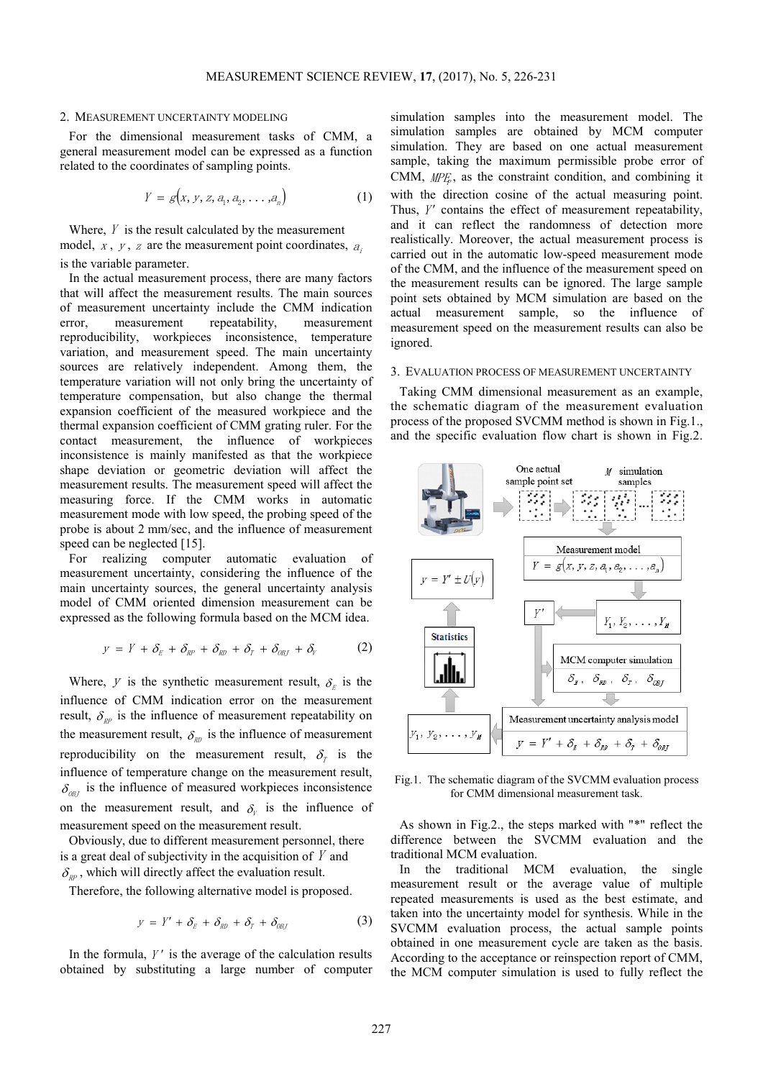#### 2. MEASUREMENT UNCERTAINTY MODELING

For the dimensional measurement tasks of CMM, a general measurement model can be expressed as a function related to the coordinates of sampling points.

$$
Y = g(x, y, z, a_1, a_2, \dots, a_n)
$$
 (1)

Where,  $Y$  is the result calculated by the measurement model,  $x$ ,  $y$ ,  $z$  are the measurement point coordinates,  $a_i$ is the variable parameter.

In the actual measurement process, there are many factors that will affect the measurement results. The main sources of measurement uncertainty include the CMM indication error, measurement repeatability, measurement reproducibility, workpieces inconsistence, temperature variation, and measurement speed. The main uncertainty sources are relatively independent. Among them, the temperature variation will not only bring the uncertainty of temperature compensation, but also change the thermal expansion coefficient of the measured workpiece and the thermal expansion coefficient of CMM grating ruler. For the contact measurement, the influence of workpieces inconsistence is mainly manifested as that the workpiece shape deviation or geometric deviation will affect the measurement results. The measurement speed will affect the measuring force. If the CMM works in automatic measurement mode with low speed, the probing speed of the probe is about 2 mm/sec, and the influence of measurement speed can be neglected [15].

For realizing computer automatic evaluation of measurement uncertainty, considering the influence of the main uncertainty sources, the general uncertainty analysis model of CMM oriented dimension measurement can be expressed as the following formula based on the MCM idea.

$$
y = Y + \delta_{E} + \delta_{RP} + \delta_{RD} + \delta_{T} + \delta_{OBI} + \delta_{V}
$$
 (2)

Where, *y* is the synthetic measurement result,  $\delta_E$  is the influence of CMM indication error on the measurement result,  $\delta_{\text{RP}}$  is the influence of measurement repeatability on the measurement result,  $\delta_{\ell\ell}$  is the influence of measurement reproducibility on the measurement result,  $\delta_{\tau}$  is the influence of temperature change on the measurement result,  $\delta_{\text{ORI}}$  is the influence of measured workpieces inconsistence on the measurement result, and  $\delta_{\nu}$  is the influence of measurement speed on the measurement result.

Obviously, due to different measurement personnel, there is a great deal of subjectivity in the acquisition of  $Y$  and  $\delta_{\ell P}$ , which will directly affect the evaluation result.

Therefore, the following alternative model is proposed.

$$
y = Y' + \delta_{E} + \delta_{RD} + \delta_{T} + \delta_{OBI}
$$
 (3)

In the formula,  $Y'$  is the average of the calculation results obtained by substituting a large number of computer simulation samples into the measurement model. The simulation samples are obtained by MCM computer simulation. They are based on one actual measurement sample, taking the maximum permissible probe error of CMM,  $MPE<sub>p</sub>$ , as the constraint condition, and combining it with the direction cosine of the actual measuring point. Thus,  $Y'$  contains the effect of measurement repeatability, and it can reflect the randomness of detection more realistically. Moreover, the actual measurement process is carried out in the automatic low-speed measurement mode of the CMM, and the influence of the measurement speed on the measurement results can be ignored. The large sample point sets obtained by MCM simulation are based on the actual measurement sample, so the influence of measurement speed on the measurement results can also be ignored.

## 3. EVALUATION PROCESS OF MEASUREMENT UNCERTAINTY

Taking CMM dimensional measurement as an example, the schematic diagram of the measurement evaluation process of the proposed SVCMM method is shown in Fig.1., and the specific evaluation flow chart is shown in Fig.2.



Fig.1. The schematic diagram of the SVCMM evaluation process for CMM dimensional measurement task.

As shown in Fig.2., the steps marked with "\*" reflect the difference between the SVCMM evaluation and the traditional MCM evaluation.

In the traditional MCM evaluation, the single measurement result or the average value of multiple repeated measurements is used as the best estimate, and taken into the uncertainty model for synthesis. While in the SVCMM evaluation process, the actual sample points obtained in one measurement cycle are taken as the basis. According to the acceptance or reinspection report of CMM, the MCM computer simulation is used to fully reflect the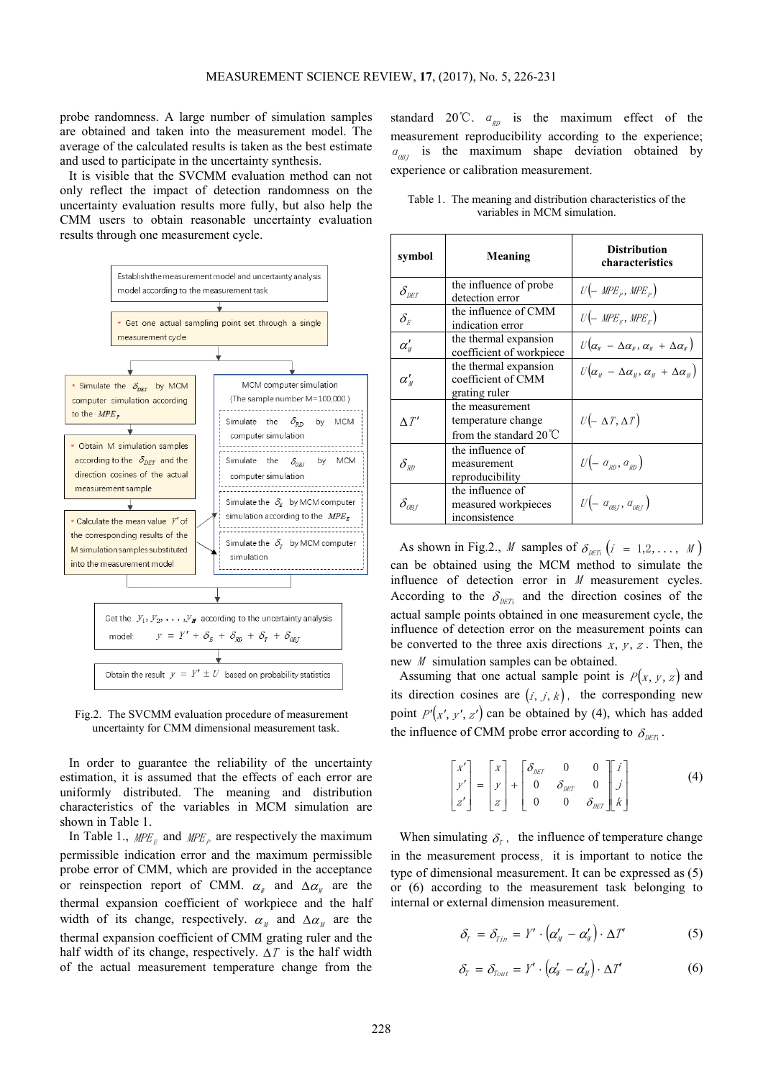probe randomness. A large number of simulation samples are obtained and taken into the measurement model. The average of the calculated results is taken as the best estimate and used to participate in the uncertainty synthesis.

It is visible that the SVCMM evaluation method can not only reflect the impact of detection randomness on the uncertainty evaluation results more fully, but also help the CMM users to obtain reasonable uncertainty evaluation results through one measurement cycle.



Fig.2. The SVCMM evaluation procedure of measurement uncertainty for CMM dimensional measurement task.

In order to guarantee the reliability of the uncertainty estimation, it is assumed that the effects of each error are uniformly distributed. The meaning and distribution characteristics of the variables in MCM simulation are shown in Table 1.

In Table 1.,  $MPE<sub>E</sub>$  and  $MPE<sub>P</sub>$  are respectively the maximum permissible indication error and the maximum permissible probe error of CMM, which are provided in the acceptance or reinspection report of CMM.  $\alpha_{w}$  and  $\Delta \alpha_{w}$  are the thermal expansion coefficient of workpiece and the half width of its change, respectively.  $\alpha_{\mu}$  and  $\Delta \alpha_{\mu}$  are the thermal expansion coefficient of CMM grating ruler and the half width of its change, respectively.  $\Delta T$  is the half width of the actual measurement temperature change from the

standard 20℃.  $a_{RD}$  is the maximum effect of the measurement reproducibility according to the experience;  $a_{OBI}$  is the maximum shape deviation obtained by experience or calibration measurement.

| Table 1. The meaning and distribution characteristics of the |
|--------------------------------------------------------------|
| variables in MCM simulation.                                 |

| symbol                                     | Meaning                                                                   | <b>Distribution</b><br>characteristics                                                           |
|--------------------------------------------|---------------------------------------------------------------------------|--------------------------------------------------------------------------------------------------|
| $\delta_{\rm\scriptscriptstyle DFT}$       | the influence of probe<br>detection error                                 | $U(-\text{MPE}_p, \text{MPE}_p)$                                                                 |
| $\delta_{\scriptscriptstyle{E}}$           | the influence of CMM<br>indication error                                  | $U(-\textit{MPE}_E, \textit{MPE}_E)$                                                             |
| $\alpha'_w$                                | the thermal expansion<br>coefficient of workpiece                         | $U(\alpha_{W} - \Delta \alpha_{W}, \alpha_{W} + \Delta \alpha_{W})$                              |
| $\alpha'_y$                                | the thermal expansion<br>coefficient of CMM<br>grating ruler              | $U(\alpha_{\mu} - \Delta \alpha_{\mu}, \alpha_{\mu} + \Delta \alpha_{\mu})$                      |
| $\Lambda T'$                               | the measurement<br>temperature change<br>from the standard $20^{\circ}$ C | $U(-\Delta T, \Delta T)$                                                                         |
| $\delta_{\scriptscriptstyle\mathit{RD}}$   | the influence of<br>measurement<br>reproducibility                        | $U(-a_{\scriptscriptstyle p\scriptscriptstyle 0}, a_{\scriptscriptstyle p\scriptscriptstyle 0})$ |
| $\delta_{\scriptscriptstyle \mathit{OBI}}$ | the influence of<br>measured workpieces<br>inconsistence                  | $U(-a_{\text{opt}}, a_{\text{opt}})$                                                             |

As shown in Fig.2., *M* samples of  $\delta_{DET_1}$   $(i = 1, 2, ..., M)$ can be obtained using the MCM method to simulate the influence of detection error in <sup>M</sup> measurement cycles. According to the  $\delta_{\text{DEFi}}$  and the direction cosines of the actual sample points obtained in one measurement cycle, the influence of detection error on the measurement points can be converted to the three axis directions  $x, y, z$ . Then, the new M simulation samples can be obtained.

Assuming that one actual sample point is  $P(x, y, z)$  and its direction cosines are  $(i, j, k)$ , the corresponding new point  $P'(x', y', z')$  can be obtained by (4), which has added the influence of CMM probe error according to  $\delta_{DET}$ .

$$
\begin{bmatrix} x' \\ y' \\ z' \end{bmatrix} = \begin{bmatrix} x \\ y \\ z \end{bmatrix} + \begin{bmatrix} \delta_{\text{DET}} & 0 & 0 \\ 0 & \delta_{\text{DET}} & 0 \\ 0 & 0 & \delta_{\text{DET}} \end{bmatrix} \begin{bmatrix} i \\ j \\ k \end{bmatrix}
$$
 (4)

When simulating  $\delta_{\tau}$ , the influence of temperature change in the measurement process, it is important to notice the type of dimensional measurement. It can be expressed as (5) or (6) according to the measurement task belonging to internal or external dimension measurement.

$$
\delta_r = \delta_{\text{fin}} = Y' \cdot (\alpha'_{\text{M}} - \alpha'_{\text{M}}) \cdot \Delta T'
$$
 (5)

$$
\delta_r = \delta_{\text{rout}} = Y' \cdot (\alpha_{\text{w}}' - \alpha_{\text{w}}') \cdot \Delta T' \tag{6}
$$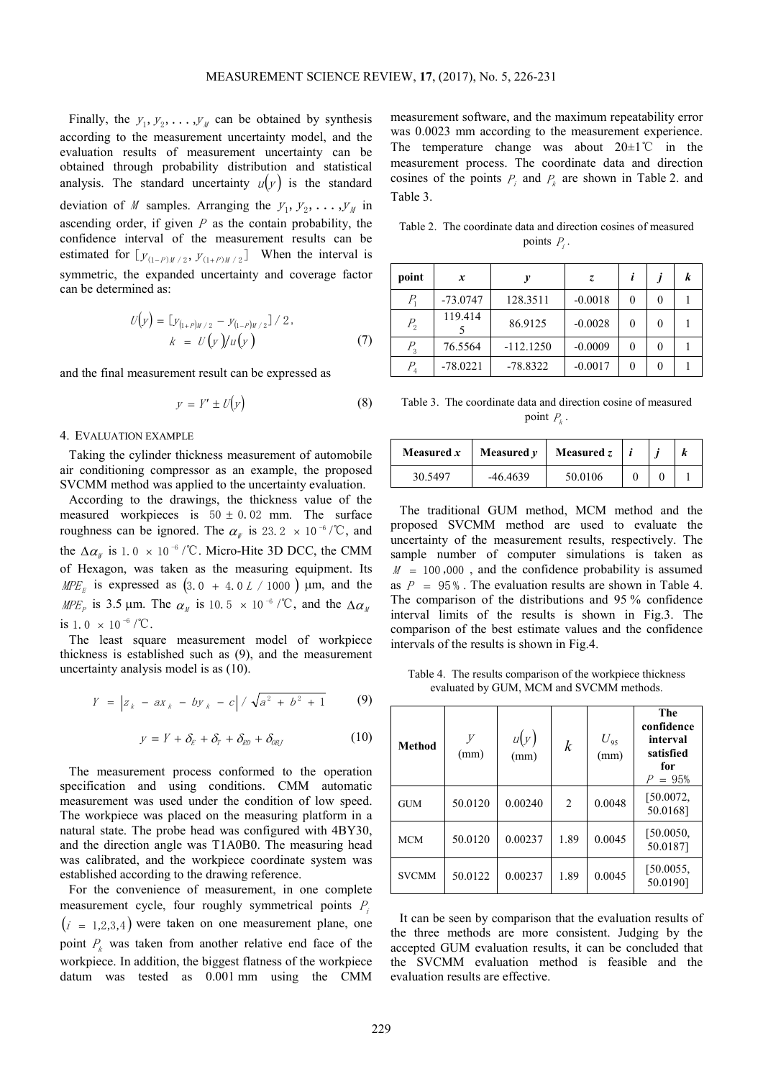Finally, the  $y_1, y_2, \dots, y_M$  can be obtained by synthesis according to the measurement uncertainty model, and the evaluation results of measurement uncertainty can be obtained through probability distribution and statistical analysis. The standard uncertainty  $u(y)$  is the standard deviation of *M* samples. Arranging the  $y_1, y_2, \ldots, y_M$  in ascending order, if given  $P$  as the contain probability, the confidence interval of the measurement results can be estimated for  $[y_{(1-P)M/2}, y_{(1+P)M/2}]$  When the interval is symmetric, the expanded uncertainty and coverage factor can be determined as:

$$
U(y) = [y_{(1+P)M/2} - y_{(1-P)M/2}] / 2,
$$
  
\n
$$
k = U(y)/u(y)
$$
 (7)

and the final measurement result can be expressed as

$$
y = Y' \pm U(y) \tag{8}
$$

#### 4. EVALUATION EXAMPLE

Taking the cylinder thickness measurement of automobile air conditioning compressor as an example, the proposed SVCMM method was applied to the uncertainty evaluation.

According to the drawings, the thickness value of the measured workpieces is  $50 \pm 0.02$  mm. The surface roughness can be ignored. The  $\alpha_{\nu}$  is 23.2 × 10<sup>-6</sup>/°C, and the  $\Delta \alpha_w$  is 1.0 × 10<sup>-6</sup> /°C. Micro-Hite 3D DCC, the CMM of Hexagon, was taken as the measuring equipment. Its MPE<sub>E</sub> is expressed as  $(3.0 + 4.0 L / 1000)$  µm, and the *MPE*<sub>*p*</sub> is 3.5 µm. The  $\alpha_{\text{M}}$  is 10.5 × 10<sup>-6</sup> /°C, and the  $\Delta \alpha_{\text{M}}$ is  $1.0 \times 10^{-6}$  /°C.

The least square measurement model of workpiece thickness is established such as (9), and the measurement uncertainty analysis model is as (10).

$$
Y = |z_k - ax_k - by_k - c| / \sqrt{a^2 + b^2 + 1}
$$
 (9)

$$
y = Y + \delta_{E} + \delta_{T} + \delta_{RD} + \delta_{OBI}
$$
 (10)

The measurement process conformed to the operation specification and using conditions. CMM automatic measurement was used under the condition of low speed. The workpiece was placed on the measuring platform in a natural state. The probe head was configured with 4BY30, and the direction angle was T1A0B0. The measuring head was calibrated, and the workpiece coordinate system was established according to the drawing reference.

For the convenience of measurement, in one complete measurement cycle, four roughly symmetrical points  $P_i$  $(i = 1, 2, 3, 4)$  were taken on one measurement plane, one point  $P_k$  was taken from another relative end face of the workpiece. In addition, the biggest flatness of the workpiece datum was tested as 0.001 mm using the CMM

measurement software, and the maximum repeatability error was 0.0023 mm according to the measurement experience. The temperature change was about 20±1℃ in the measurement process. The coordinate data and direction cosines of the points  $P_i$  and  $P_k$  are shown in Table 2. and Table 3.

Table 2. The coordinate data and direction cosines of measured points  $P_i$ .

| point          | x          | v           | z.        |          |               | k |
|----------------|------------|-------------|-----------|----------|---------------|---|
|                | $-73.0747$ | 128.3511    | $-0.0018$ | $\theta$ |               |   |
| P <sub>2</sub> | 119.414    | 86.9125     | $-0.0028$ | $\theta$ | $\mathcal{L}$ |   |
| $P_{\rm 3}$    | 76.5564    | $-112.1250$ | $-0.0009$ | $\theta$ |               |   |
|                | $-78.0221$ | $-78.8322$  | $-0.0017$ | 0        |               |   |

Table 3. The coordinate data and direction cosine of measured point  $P_k$ .

| Measured x | Measured $\nu$ | Measured z |  |  |
|------------|----------------|------------|--|--|
| 30.5497    | $-46.4639$     | 50.0106    |  |  |

The traditional GUM method, MCM method and the proposed SVCMM method are used to evaluate the uncertainty of the measurement results, respectively. The sample number of computer simulations is taken as  $M = 100,000$ , and the confidence probability is assumed as  $P = 95\%$ . The evaluation results are shown in Table 4. The comparison of the distributions and 95 % confidence interval limits of the results is shown in Fig.3. The comparison of the best estimate values and the confidence intervals of the results is shown in Fig.4.

Table 4. The results comparison of the workpiece thickness evaluated by GUM, MCM and SVCMM methods.

| Method       | V<br>(mm) | u(y)<br>(mm) | $\boldsymbol{k}$ | $U_{\rm 95}$<br>(mm) | <b>The</b><br>confidence<br>interval<br>satisfied<br>for<br>$P = 95%$ |
|--------------|-----------|--------------|------------------|----------------------|-----------------------------------------------------------------------|
| <b>GUM</b>   | 50.0120   | 0.00240      | 2                | 0.0048               | [50.0072,<br>50.01681                                                 |
| <b>MCM</b>   | 50.0120   | 0.00237      | 1.89             | 0.0045               | [50.0050,<br>50.01871                                                 |
| <b>SVCMM</b> | 50.0122   | 0.00237      | 1.89             | 0.0045               | [50.0055,<br>50.0190]                                                 |

It can be seen by comparison that the evaluation results of the three methods are more consistent. Judging by the accepted GUM evaluation results, it can be concluded that the SVCMM evaluation method is feasible and the evaluation results are effective.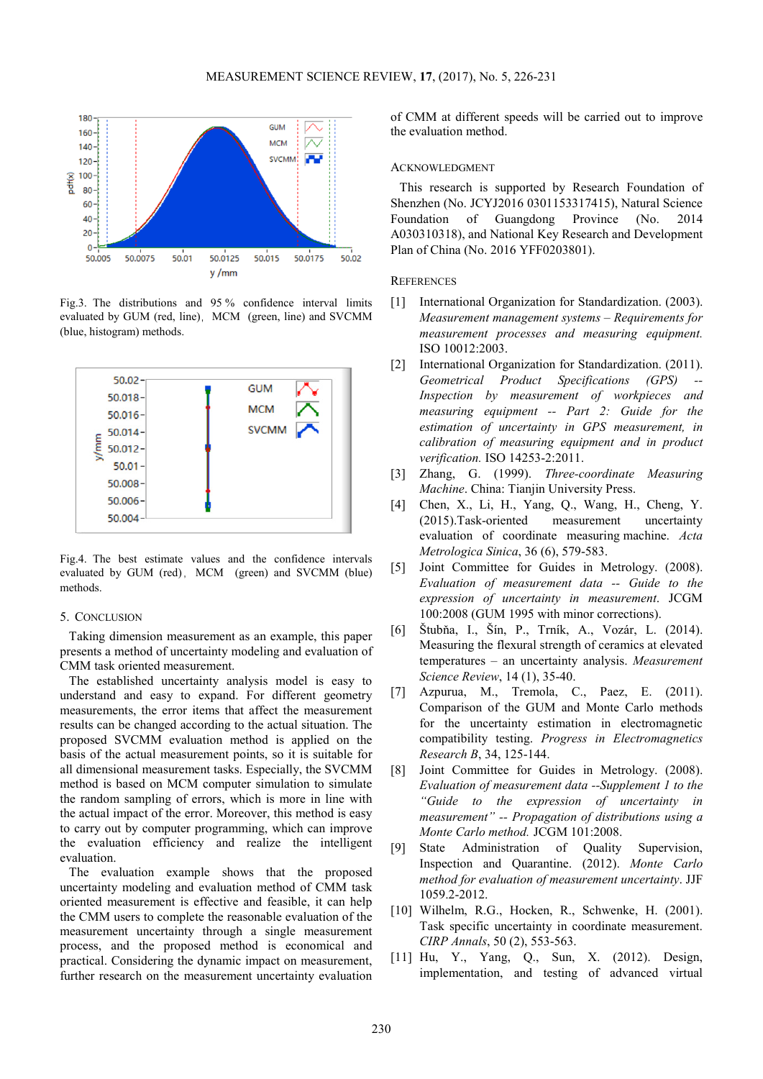

Fig.3. The distributions and 95 % confidence interval limits evaluated by GUM (red, line), MCM (green, line) and SVCMM (blue, histogram) methods.



Fig.4. The best estimate values and the confidence intervals evaluated by GUM (red), MCM (green) and SVCMM (blue) methods.

## 5. CONCLUSION

Taking dimension measurement as an example, this paper presents a method of uncertainty modeling and evaluation of CMM task oriented measurement.

The established uncertainty analysis model is easy to understand and easy to expand. For different geometry measurements, the error items that affect the measurement results can be changed according to the actual situation. The proposed SVCMM evaluation method is applied on the basis of the actual measurement points, so it is suitable for all dimensional measurement tasks. Especially, the SVCMM method is based on MCM computer simulation to simulate the random sampling of errors, which is more in line with the actual impact of the error. Moreover, this method is easy to carry out by computer programming, which can improve the evaluation efficiency and realize the intelligent evaluation.

The evaluation example shows that the proposed uncertainty modeling and evaluation method of CMM task oriented measurement is effective and feasible, it can help the CMM users to complete the reasonable evaluation of the measurement uncertainty through a single measurement process, and the proposed method is economical and practical. Considering the dynamic impact on measurement, further research on the measurement uncertainty evaluation of CMM at different speeds will be carried out to improve the evaluation method.

## ACKNOWLEDGMENT

This research is supported by Research Foundation of Shenzhen (No. JCYJ2016 0301153317415), Natural Science Foundation of Guangdong Province (No. 2014 A030310318), and National Key Research and Development Plan of China (No. 2016 YFF0203801).

#### **REFERENCES**

- [1] International Organization for Standardization. (2003). *Measurement management systems – Requirements for measurement processes and measuring equipment.*  ISO 10012:2003.
- [2] International Organization for Standardization. (2011). *Geometrical Product Specifications (GPS) Inspection by measurement of workpieces and measuring equipment -- Part 2: Guide for the estimation of uncertainty in GPS measurement, in calibration of measuring equipment and in product verification.* ISO 14253-2:2011.
- [3] Zhang, G. (1999). *Three-coordinate Measuring Machine*. China: Tianjin University Press.
- [4] Chen, X., Li, H., Yang, Q., Wang, H., Cheng, Y. (2015).Task-oriented measurement uncertainty evaluation of coordinate measuring machine. *Acta Metrologica Sinica*, 36 (6), 579-583.
- [5] Joint Committee for Guides in Metrology. (2008). *Evaluation of measurement data -- Guide to the expression of uncertainty in measurement*. JCGM 100:2008 (GUM 1995 with minor corrections).
- [6] Štubňa, I., Šín, P., Trník, A., Vozár, L. (2014). Measuring the flexural strength of ceramics at elevated temperatures – an uncertainty analysis. *Measurement Science Review*, 14 (1), 35-40.
- [7] Azpurua, M., Tremola, C., Paez, E. (2011). Comparison of the GUM and Monte Carlo methods for the uncertainty estimation in electromagnetic compatibility testing. *Progress in Electromagnetics Research B*, 34, 125-144.
- [8] Joint Committee for Guides in Metrology. (2008). *Evaluation of measurement data --Supplement 1 to the "Guide to the expression of uncertainty in measurement" -- Propagation of distributions using a Monte Carlo method.* JCGM 101:2008.
- [9] State Administration of Quality Supervision, Inspection and Quarantine. (2012). *Monte Carlo method for evaluation of measurement uncertainty*. JJF 1059.2-2012.
- [10] Wilhelm, R.G., Hocken, R., Schwenke, H. (2001). Task specific uncertainty in coordinate measurement. *CIRP Annals*, 50 (2), 553-563.
- [11] Hu, Y., Yang, Q., Sun, X. (2012). Design, implementation, and testing of advanced virtual